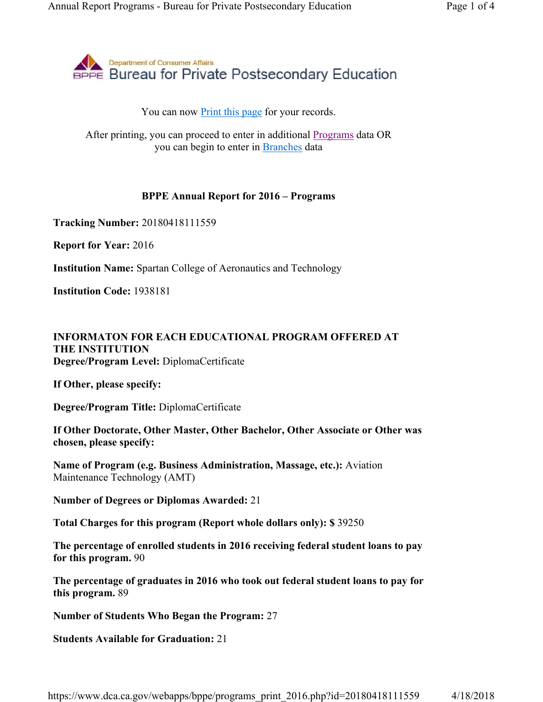

## You can now **Print this page** for your records.

After printing, you can proceed to enter in additional Programs data OR you can begin to enter in Branches data

## **BPPE Annual Report for 2016 – Programs**

**Tracking Number:** 20180418111559

**Report for Year:** 2016

**Institution Name:** Spartan College of Aeronautics and Technology

**Institution Code:** 1938181

## **INFORMATON FOR EACH EDUCATIONAL PROGRAM OFFERED AT THE INSTITUTION Degree/Program Level:** DiplomaCertificate

**If Other, please specify:** 

**Degree/Program Title:** DiplomaCertificate

**If Other Doctorate, Other Master, Other Bachelor, Other Associate or Other was chosen, please specify:** 

**Name of Program (e.g. Business Administration, Massage, etc.):** Aviation Maintenance Technology (AMT)

**Number of Degrees or Diplomas Awarded:** 21

**Total Charges for this program (Report whole dollars only): \$** 39250

**The percentage of enrolled students in 2016 receiving federal student loans to pay for this program.** 90

**The percentage of graduates in 2016 who took out federal student loans to pay for this program.** 89

**Number of Students Who Began the Program:** 27

**Students Available for Graduation:** 21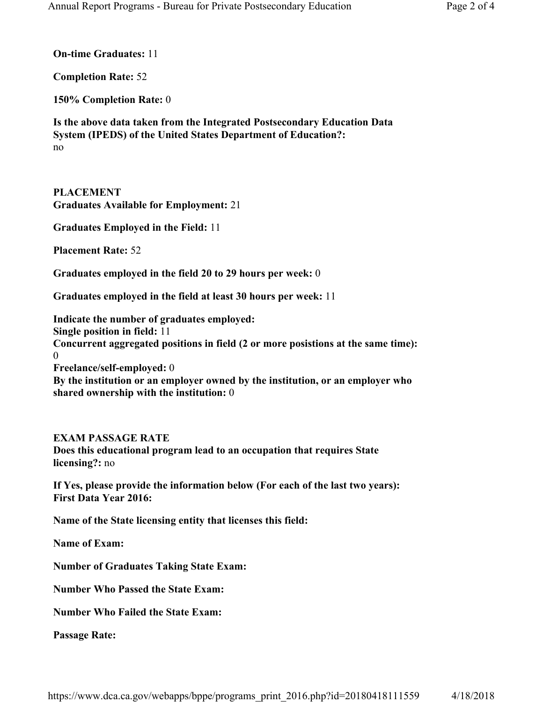**On-time Graduates:** 11

**Completion Rate:** 52

**150% Completion Rate:** 0

**Is the above data taken from the Integrated Postsecondary Education Data System (IPEDS) of the United States Department of Education?:** no

**PLACEMENT Graduates Available for Employment:** 21

**Graduates Employed in the Field:** 11

**Placement Rate:** 52

**Graduates employed in the field 20 to 29 hours per week:** 0

**Graduates employed in the field at least 30 hours per week:** 11

**Indicate the number of graduates employed: Single position in field:** 11 **Concurrent aggregated positions in field (2 or more posistions at the same time):**  0 **Freelance/self-employed:** 0 **By the institution or an employer owned by the institution, or an employer who shared ownership with the institution:** 0

## **EXAM PASSAGE RATE**

**Does this educational program lead to an occupation that requires State licensing?:** no

**If Yes, please provide the information below (For each of the last two years): First Data Year 2016:** 

**Name of the State licensing entity that licenses this field:** 

**Name of Exam:** 

**Number of Graduates Taking State Exam:** 

**Number Who Passed the State Exam:** 

**Number Who Failed the State Exam:** 

**Passage Rate:**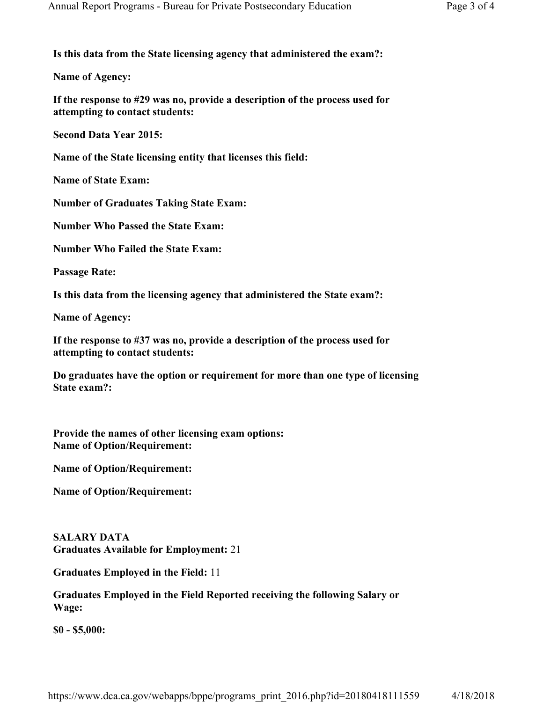**Is this data from the State licensing agency that administered the exam?:** 

**Name of Agency:** 

**If the response to #29 was no, provide a description of the process used for attempting to contact students:** 

**Second Data Year 2015:** 

**Name of the State licensing entity that licenses this field:** 

**Name of State Exam:** 

**Number of Graduates Taking State Exam:** 

**Number Who Passed the State Exam:** 

**Number Who Failed the State Exam:** 

**Passage Rate:** 

**Is this data from the licensing agency that administered the State exam?:** 

**Name of Agency:** 

**If the response to #37 was no, provide a description of the process used for attempting to contact students:** 

**Do graduates have the option or requirement for more than one type of licensing State exam?:** 

**Provide the names of other licensing exam options: Name of Option/Requirement:** 

**Name of Option/Requirement:** 

**Name of Option/Requirement:** 

**SALARY DATA Graduates Available for Employment:** 21

**Graduates Employed in the Field:** 11

**Graduates Employed in the Field Reported receiving the following Salary or Wage:**

**\$0 - \$5,000:** 

https://www.dca.ca.gov/webapps/bppe/programs\_print\_2016.php?id=20180418111559 4/18/2018